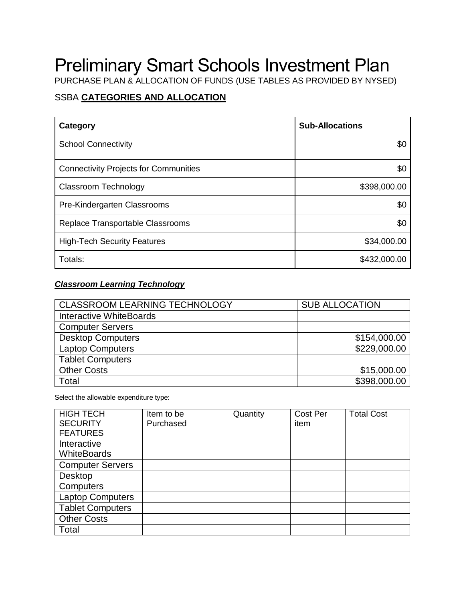# Preliminary Smart Schools Investment Plan

PURCHASE PLAN & ALLOCATION OF FUNDS (USE TABLES AS PROVIDED BY NYSED)

## SSBA **CATEGORIES AND ALLOCATION**

| Category                                     | <b>Sub-Allocations</b> |  |
|----------------------------------------------|------------------------|--|
| <b>School Connectivity</b>                   | \$0                    |  |
| <b>Connectivity Projects for Communities</b> | \$0                    |  |
| <b>Classroom Technology</b>                  | \$398,000.00           |  |
| Pre-Kindergarten Classrooms                  | \$0                    |  |
| Replace Transportable Classrooms             | \$0                    |  |
| <b>High-Tech Security Features</b>           | \$34,000.00            |  |
| Totals:                                      | \$432,000.00           |  |

### *Classroom Learning Technology*

| <b>CLASSROOM LEARNING TECHNOLOGY</b> | <b>SUB ALLOCATION</b> |  |
|--------------------------------------|-----------------------|--|
| <b>Interactive WhiteBoards</b>       |                       |  |
| <b>Computer Servers</b>              |                       |  |
| <b>Desktop Computers</b>             | \$154,000.00          |  |
| <b>Laptop Computers</b>              | \$229,000.00          |  |
| <b>Tablet Computers</b>              |                       |  |
| <b>Other Costs</b>                   | \$15,000.00           |  |
| Total                                | \$398,000.00          |  |

Select the allowable expenditure type:

| <b>HIGH TECH</b>        | Item to be | Quantity | <b>Cost Per</b> | <b>Total Cost</b> |
|-------------------------|------------|----------|-----------------|-------------------|
| <b>SECURITY</b>         | Purchased  |          | item            |                   |
| <b>FEATURES</b>         |            |          |                 |                   |
| Interactive             |            |          |                 |                   |
| <b>WhiteBoards</b>      |            |          |                 |                   |
| <b>Computer Servers</b> |            |          |                 |                   |
| Desktop                 |            |          |                 |                   |
| Computers               |            |          |                 |                   |
| <b>Laptop Computers</b> |            |          |                 |                   |
| <b>Tablet Computers</b> |            |          |                 |                   |
| <b>Other Costs</b>      |            |          |                 |                   |
| Total                   |            |          |                 |                   |